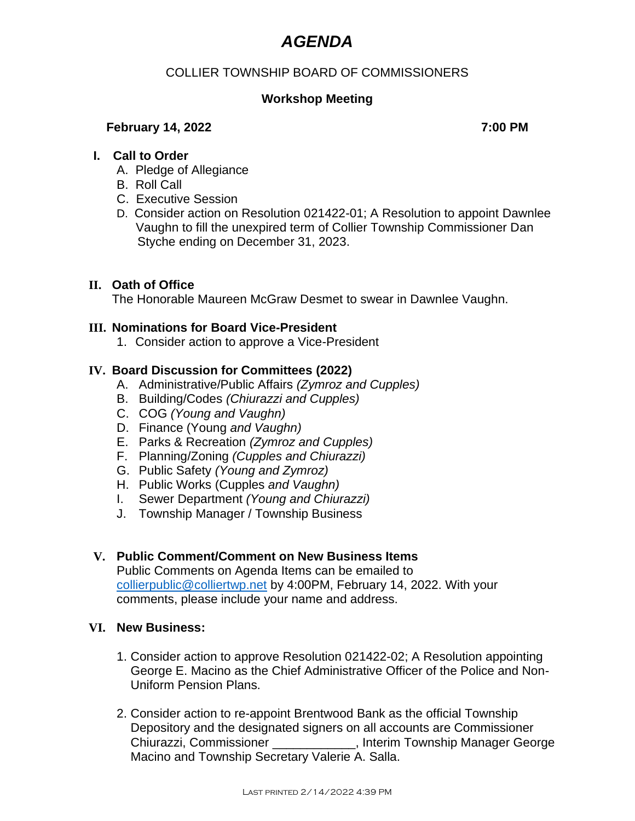# *AGENDA*

# COLLIER TOWNSHIP BOARD OF COMMISSIONERS

# **Workshop Meeting**

## **February 14, 2022** 7:00 PM

## **I. Call to Order**

- A. Pledge of Allegiance
- B. Roll Call
- C. Executive Session
- D. Consider action on Resolution 021422-01; A Resolution to appoint Dawnlee Vaughn to fill the unexpired term of Collier Township Commissioner Dan Styche ending on December 31, 2023.

## **II. Oath of Office**

The Honorable Maureen McGraw Desmet to swear in Dawnlee Vaughn.

## **III. Nominations for Board Vice-President**

1. Consider action to approve a Vice-President

## **IV. Board Discussion for Committees (2022)**

- A. Administrative/Public Affairs *(Zymroz and Cupples)*
- B. Building/Codes *(Chiurazzi and Cupples)*
- C. COG *(Young and Vaughn)*
- D. Finance (Young *and Vaughn)*
- E. Parks & Recreation *(Zymroz and Cupples)*
- F. Planning/Zoning *(Cupples and Chiurazzi)*
- G. Public Safety *(Young and Zymroz)*
- H. Public Works (Cupples *and Vaughn)*
- I. Sewer Department *(Young and Chiurazzi)*
- J. Township Manager / Township Business

#### **V. Public Comment/Comment on New Business Items**

Public Comments on Agenda Items can be emailed to [collierpublic@colliertwp.net](mailto:collierpublic@colliertwp.net) by 4:00PM, February 14, 2022. With your comments, please include your name and address.

#### **VI. New Business:**

- 1. Consider action to approve Resolution 021422-02; A Resolution appointing George E. Macino as the Chief Administrative Officer of the Police and Non-Uniform Pension Plans.
- 2. Consider action to re-appoint Brentwood Bank as the official Township Depository and the designated signers on all accounts are Commissioner Chiurazzi, Commissioner \_\_\_\_\_\_\_\_\_\_\_\_, Interim Township Manager George Macino and Township Secretary Valerie A. Salla.